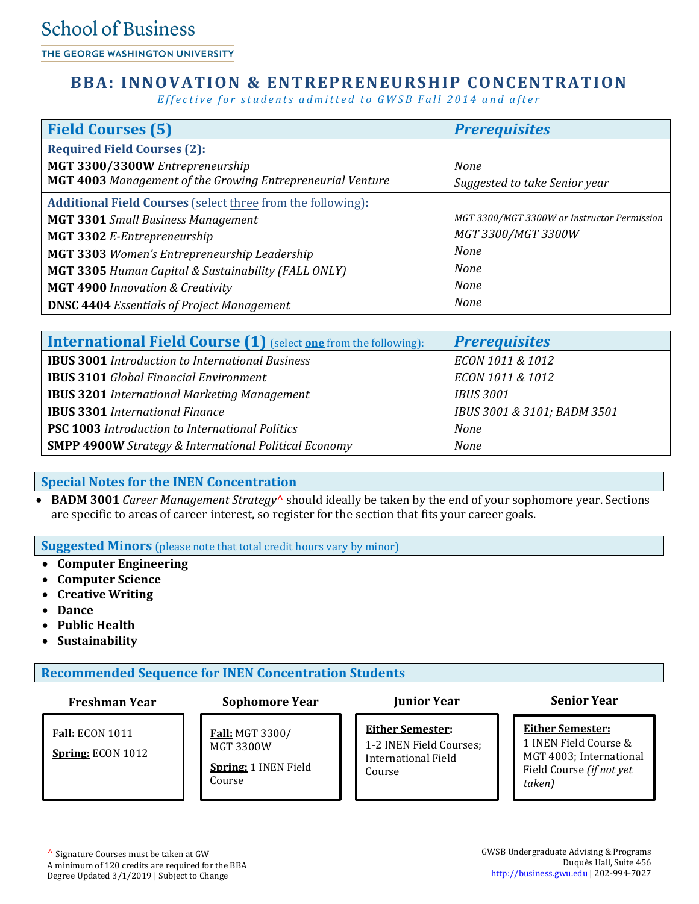THE GEORGE WASHINGTON UNIVERSITY

## **BBA: INNOVATION & ENTREPRENEURSHIP CONCENTRATION**

*Effective for students admitted to GWSB Fall 2014 and after* 

| <b>Field Courses (5)</b>                                           | <b>Prerequisites</b>                        |
|--------------------------------------------------------------------|---------------------------------------------|
| <b>Required Field Courses (2):</b>                                 |                                             |
| MGT 3300/3300W Entrepreneurship                                    | <b>None</b>                                 |
| <b>MGT 4003</b> Management of the Growing Entrepreneurial Venture  | Suggested to take Senior year               |
| <b>Additional Field Courses</b> (select three from the following): |                                             |
| <b>MGT 3301</b> Small Business Management                          | MGT 3300/MGT 3300W or Instructor Permission |
| MGT 3302 E-Entrepreneurship                                        | MGT 3300/MGT 3300W                          |
| MGT 3303 Women's Entrepreneurship Leadership                       | <b>None</b>                                 |
| MGT 3305 Human Capital & Sustainability (FALL ONLY)                | <b>None</b>                                 |
| <b>MGT 4900 Innovation &amp; Creativity</b>                        | <b>None</b>                                 |
| <b>DNSC 4404 Essentials of Project Management</b>                  | <b>None</b>                                 |

| <b>International Field Course (1)</b> (select one from the following): | <b>Prerequisites</b>        |
|------------------------------------------------------------------------|-----------------------------|
| <b>IBUS 3001</b> Introduction to International Business                | ECON 1011 & 1012            |
| <b>IBUS 3101</b> Global Financial Environment                          | ECON 1011 & 1012            |
| <b>IBUS 3201</b> International Marketing Management                    | <b>IBUS 3001</b>            |
| <b>IBUS 3301 International Finance</b>                                 | IBUS 3001 & 3101; BADM 3501 |
| <b>PSC 1003</b> Introduction to International Politics                 | None                        |
| <b>SMPP 4900W</b> Strategy & International Political Economy           | <b>None</b>                 |

### **Special Notes for the INEN Concentration**

 **BADM 3001** *Career Management Strategy*^ should ideally be taken by the end of your sophomore year. Sections are specific to areas of career interest, so register for the section that fits your career goals.

**Suggested Minors** (please note that total credit hours vary by minor)

- **Computer Engineering**
- **Computer Science**
- **Creative Writing**
- **Dance**
- **Public Health**
- **Sustainability**

**Recommended Sequence for INEN Concentration Students**

**Freshman Year Sophomore Year Junior Year Senior Year**

**Either Semester:**  1-2 INEN Field Courses; International Field Course

**Either Semester:** 1 INEN Field Course &

MGT 4003; International Field Course *(if not yet taken)*

### **Fall:** ECON 1011

**Spring:** ECON 1012

# **Fall:** MGT 3300/

MGT 3300W **Spring:** 1 INEN Field Course